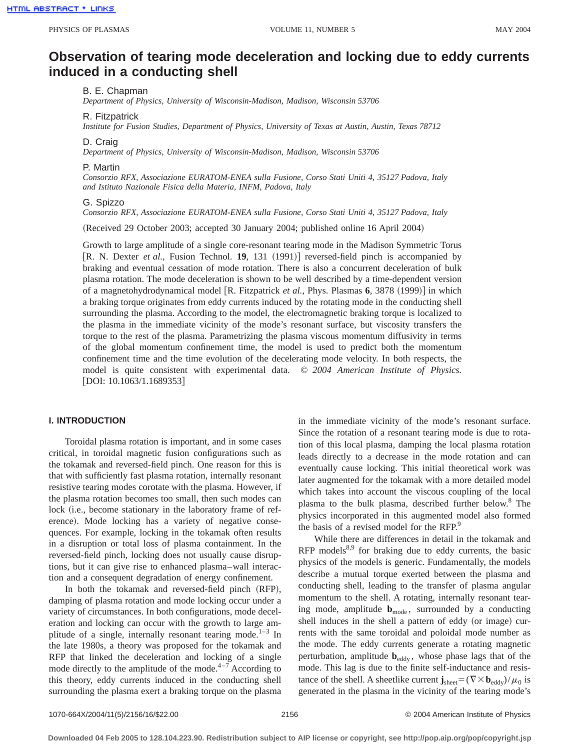# **Observation of tearing mode deceleration and locking due to eddy currents induced in a conducting shell**

B. E. Chapman

*Department of Physics, University of Wisconsin-Madison, Madison, Wisconsin 53706*

R. Fitzpatrick

*Institute for Fusion Studies, Department of Physics, University of Texas at Austin, Austin, Texas 78712*

#### D. Craig

*Department of Physics, University of Wisconsin-Madison, Madison, Wisconsin 53706*

#### P. Martin

*Consorzio RFX, Associazione EURATOM-ENEA sulla Fusione, Corso Stati Uniti 4, 35127 Padova, Italy and Istituto Nazionale Fisica della Materia, INFM, Padova, Italy*

#### G. Spizzo

*Consorzio RFX, Associazione EURATOM-ENEA sulla Fusione, Corso Stati Uniti 4, 35127 Padova, Italy*

(Received 29 October 2003; accepted 30 January 2004; published online 16 April 2004)

Growth to large amplitude of a single core-resonant tearing mode in the Madison Symmetric Torus R. N. Dexter *et al.*, Fusion Technol. **19**, 131 (1991) reversed-field pinch is accompanied by braking and eventual cessation of mode rotation. There is also a concurrent deceleration of bulk plasma rotation. The mode deceleration is shown to be well described by a time-dependent version of a magnetohydrodynamical model [R. Fitzpatrick *et al.*, Phys. Plasmas 6, 3878 (1999)] in which a braking torque originates from eddy currents induced by the rotating mode in the conducting shell surrounding the plasma. According to the model, the electromagnetic braking torque is localized to the plasma in the immediate vicinity of the mode's resonant surface, but viscosity transfers the torque to the rest of the plasma. Parametrizing the plasma viscous momentum diffusivity in terms of the global momentum confinement time, the model is used to predict both the momentum confinement time and the time evolution of the decelerating mode velocity. In both respects, the model is quite consistent with experimental data. © *2004 American Institute of Physics.* [DOI: 10.1063/1.1689353]

# **I. INTRODUCTION**

Toroidal plasma rotation is important, and in some cases critical, in toroidal magnetic fusion configurations such as the tokamak and reversed-field pinch. One reason for this is that with sufficiently fast plasma rotation, internally resonant resistive tearing modes corotate with the plasma. However, if the plasma rotation becomes too small, then such modes can lock (i.e., become stationary in the laboratory frame of reference). Mode locking has a variety of negative consequences. For example, locking in the tokamak often results in a disruption or total loss of plasma containment. In the reversed-field pinch, locking does not usually cause disruptions, but it can give rise to enhanced plasma–wall interaction and a consequent degradation of energy confinement.

In both the tokamak and reversed-field pinch (RFP), damping of plasma rotation and mode locking occur under a variety of circumstances. In both configurations, mode deceleration and locking can occur with the growth to large amplitude of a single, internally resonant tearing mode. $1-3$  In the late 1980s, a theory was proposed for the tokamak and RFP that linked the deceleration and locking of a single mode directly to the amplitude of the mode. $4-7$  According to this theory, eddy currents induced in the conducting shell surrounding the plasma exert a braking torque on the plasma in the immediate vicinity of the mode's resonant surface. Since the rotation of a resonant tearing mode is due to rotation of this local plasma, damping the local plasma rotation leads directly to a decrease in the mode rotation and can eventually cause locking. This initial theoretical work was later augmented for the tokamak with a more detailed model which takes into account the viscous coupling of the local plasma to the bulk plasma, described further below.<sup>8</sup> The physics incorporated in this augmented model also formed the basis of a revised model for the RFP.<sup>9</sup>

While there are differences in detail in the tokamak and RFP models $8,9$  for braking due to eddy currents, the basic physics of the models is generic. Fundamentally, the models describe a mutual torque exerted between the plasma and conducting shell, leading to the transfer of plasma angular momentum to the shell. A rotating, internally resonant tearing mode, amplitude  $\mathbf{b}_{\text{mode}}$ , surrounded by a conducting shell induces in the shell a pattern of eddy (or image) currents with the same toroidal and poloidal mode number as the mode. The eddy currents generate a rotating magnetic perturbation, amplitude  $\mathbf{b}_{\text{eddv}}$ , whose phase lags that of the mode. This lag is due to the finite self-inductance and resistance of the shell. A sheetlike current  $\mathbf{j}_{\text{sheet}} = (\nabla \times \mathbf{b}_{\text{eddv}})/\mu_0$  is generated in the plasma in the vicinity of the tearing mode's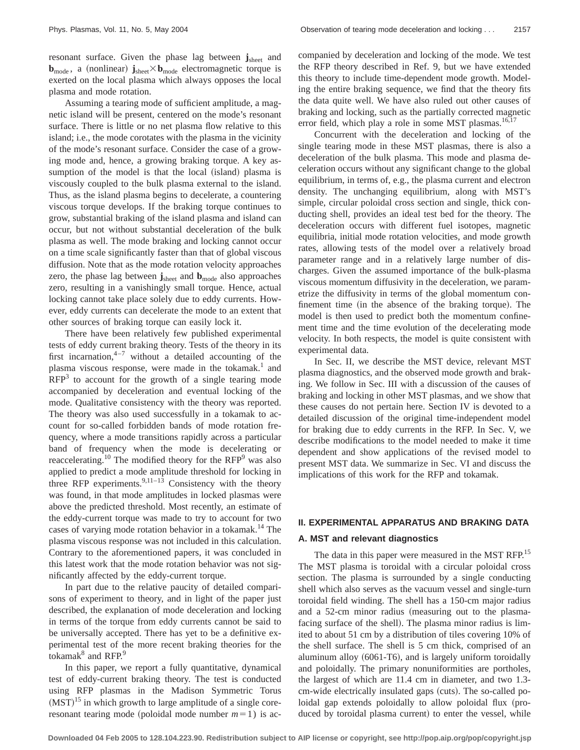resonant surface. Given the phase lag between **j**<sub>sheet</sub> and  $\mathbf{b}_{\text{mode}}$ , a (nonlinear)  $\mathbf{j}_{\text{sheet}} \times \mathbf{b}_{\text{mode}}$  electromagnetic torque is exerted on the local plasma which always opposes the local plasma and mode rotation.

Assuming a tearing mode of sufficient amplitude, a magnetic island will be present, centered on the mode's resonant surface. There is little or no net plasma flow relative to this island; i.e., the mode corotates with the plasma in the vicinity of the mode's resonant surface. Consider the case of a growing mode and, hence, a growing braking torque. A key assumption of the model is that the local (island) plasma is viscously coupled to the bulk plasma external to the island. Thus, as the island plasma begins to decelerate, a countering viscous torque develops. If the braking torque continues to grow, substantial braking of the island plasma and island can occur, but not without substantial deceleration of the bulk plasma as well. The mode braking and locking cannot occur on a time scale significantly faster than that of global viscous diffusion. Note that as the mode rotation velocity approaches zero, the phase lag between **j**sheet and **b**mode also approaches zero, resulting in a vanishingly small torque. Hence, actual locking cannot take place solely due to eddy currents. However, eddy currents can decelerate the mode to an extent that other sources of braking torque can easily lock it.

There have been relatively few published experimental tests of eddy current braking theory. Tests of the theory in its first incarnation, $4^{-7}$  without a detailed accounting of the plasma viscous response, were made in the tokamak.<sup>1</sup> and  $RFP<sup>3</sup>$  to account for the growth of a single tearing mode accompanied by deceleration and eventual locking of the mode. Qualitative consistency with the theory was reported. The theory was also used successfully in a tokamak to account for so-called forbidden bands of mode rotation frequency, where a mode transitions rapidly across a particular band of frequency when the mode is decelerating or reaccelerating.<sup>10</sup> The modified theory for the  $RFP<sup>9</sup>$  was also applied to predict a mode amplitude threshold for locking in three RFP experiments.  $9,11-13$  Consistency with the theory was found, in that mode amplitudes in locked plasmas were above the predicted threshold. Most recently, an estimate of the eddy-current torque was made to try to account for two cases of varying mode rotation behavior in a tokamak.14 The plasma viscous response was not included in this calculation. Contrary to the aforementioned papers, it was concluded in this latest work that the mode rotation behavior was not significantly affected by the eddy-current torque.

In part due to the relative paucity of detailed comparisons of experiment to theory, and in light of the paper just described, the explanation of mode deceleration and locking in terms of the torque from eddy currents cannot be said to be universally accepted. There has yet to be a definitive experimental test of the more recent braking theories for the tokamak $8$  and RFP. $9$ 

In this paper, we report a fully quantitative, dynamical test of eddy-current braking theory. The test is conducted using RFP plasmas in the Madison Symmetric Torus  $(MST)^{15}$  in which growth to large amplitude of a single coreresonant tearing mode (poloidal mode number  $m=1$ ) is accompanied by deceleration and locking of the mode. We test the RFP theory described in Ref. 9, but we have extended this theory to include time-dependent mode growth. Modeling the entire braking sequence, we find that the theory fits the data quite well. We have also ruled out other causes of braking and locking, such as the partially corrected magnetic error field, which play a role in some MST plasmas.<sup>16,17</sup>

Concurrent with the deceleration and locking of the single tearing mode in these MST plasmas, there is also a deceleration of the bulk plasma. This mode and plasma deceleration occurs without any significant change to the global equilibrium, in terms of, e.g., the plasma current and electron density. The unchanging equilibrium, along with MST's simple, circular poloidal cross section and single, thick conducting shell, provides an ideal test bed for the theory. The deceleration occurs with different fuel isotopes, magnetic equilibria, initial mode rotation velocities, and mode growth rates, allowing tests of the model over a relatively broad parameter range and in a relatively large number of discharges. Given the assumed importance of the bulk-plasma viscous momentum diffusivity in the deceleration, we parametrize the diffusivity in terms of the global momentum confinement time (in the absence of the braking torque). The model is then used to predict both the momentum confinement time and the time evolution of the decelerating mode velocity. In both respects, the model is quite consistent with experimental data.

In Sec. II, we describe the MST device, relevant MST plasma diagnostics, and the observed mode growth and braking. We follow in Sec. III with a discussion of the causes of braking and locking in other MST plasmas, and we show that these causes do not pertain here. Section IV is devoted to a detailed discussion of the original time-independent model for braking due to eddy currents in the RFP. In Sec. V, we describe modifications to the model needed to make it time dependent and show applications of the revised model to present MST data. We summarize in Sec. VI and discuss the implications of this work for the RFP and tokamak.

## **II. EXPERIMENTAL APPARATUS AND BRAKING DATA**

## **A. MST and relevant diagnostics**

The data in this paper were measured in the MST RFP.<sup>15</sup> The MST plasma is toroidal with a circular poloidal cross section. The plasma is surrounded by a single conducting shell which also serves as the vacuum vessel and single-turn toroidal field winding. The shell has a 150-cm major radius and a 52-cm minor radius (measuring out to the plasmafacing surface of the shell). The plasma minor radius is limited to about 51 cm by a distribution of tiles covering 10% of the shell surface. The shell is 5 cm thick, comprised of an aluminum alloy  $(6061-T6)$ , and is largely uniform toroidally and poloidally. The primary nonuniformities are portholes, the largest of which are 11.4 cm in diameter, and two 1.3 cm-wide electrically insulated gaps (cuts). The so-called poloidal gap extends poloidally to allow poloidal flux (produced by toroidal plasma current) to enter the vessel, while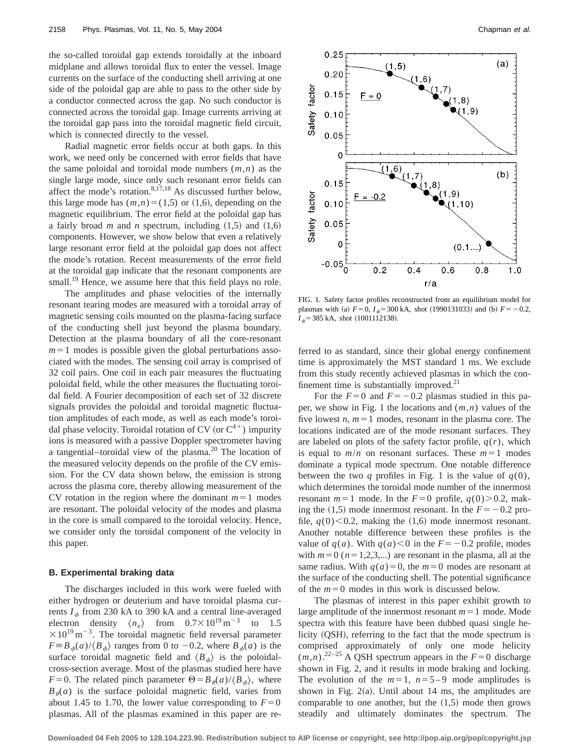the so-called toroidal gap extends toroidally at the inboard midplane and allows toroidal flux to enter the vessel. Image currents on the surface of the conducting shell arriving at one side of the poloidal gap are able to pass to the other side by a conductor connected across the gap. No such conductor is connected across the toroidal gap. Image currents arriving at the toroidal gap pass into the toroidal magnetic field circuit, which is connected directly to the vessel.

Radial magnetic error fields occur at both gaps. In this work, we need only be concerned with error fields that have the same poloidal and toroidal mode numbers (*m*,*n*) as the single large mode, since only such resonant error fields can affect the mode's rotation.<sup>8,17,18</sup> As discussed further below, this large mode has  $(m,n)=(1,5)$  or  $(1,6)$ , depending on the magnetic equilibrium. The error field at the poloidal gap has a fairly broad  $m$  and  $n$  spectrum, including  $(1,5)$  and  $(1,6)$ components. However, we show below that even a relatively large resonant error field at the poloidal gap does not affect the mode's rotation. Recent measurements of the error field at the toroidal gap indicate that the resonant components are small.<sup>19</sup> Hence, we assume here that this field plays no role.

The amplitudes and phase velocities of the internally resonant tearing modes are measured with a toroidal array of magnetic sensing coils mounted on the plasma-facing surface of the conducting shell just beyond the plasma boundary. Detection at the plasma boundary of all the core-resonant  $m=1$  modes is possible given the global perturbations associated with the modes. The sensing coil array is comprised of 32 coil pairs. One coil in each pair measures the fluctuating poloidal field, while the other measures the fluctuating toroidal field. A Fourier decomposition of each set of 32 discrete signals provides the poloidal and toroidal magnetic fluctuation amplitudes of each mode, as well as each mode's toroidal phase velocity. Toroidal rotation of CV (or  $C^{4+}$ ) impurity ions is measured with a passive Doppler spectrometer having a tangential–toroidal view of the plasma.<sup>20</sup> The location of the measured velocity depends on the profile of the CV emission. For the CV data shown below, the emission is strong across the plasma core, thereby allowing measurement of the CV rotation in the region where the dominant  $m=1$  modes are resonant. The poloidal velocity of the modes and plasma in the core is small compared to the toroidal velocity. Hence, we consider only the toroidal component of the velocity in this paper.

## **B. Experimental braking data**

The discharges included in this work were fueled with either hydrogen or deuterium and have toroidal plasma currents  $I_{\phi}$  from 230 kA to 390 kA and a central line-averaged electron density  $\langle n_e \rangle$  from  $0.7 \times 10^{19} \text{ m}^{-3}$  to 1.5  $\times 10^{19}$  m<sup>-3</sup>. The toroidal magnetic field reversal parameter  $F \equiv B_{\phi}(a)/\langle B_{\phi} \rangle$  ranges from 0 to -0.2, where  $B_{\phi}(a)$  is the surface toroidal magnetic field and  $\langle B_{\phi} \rangle$  is the poloidalcross-section average. Most of the plasmas studied here have *F*=0. The related pinch parameter  $\Theta = B_\theta(a)/\langle B_\phi \rangle$ , where  $B_{\theta}(a)$  is the surface poloidal magnetic field, varies from about 1.45 to 1.70, the lower value corresponding to  $F=0$ plasmas. All of the plasmas examined in this paper are re-



FIG. 1. Safety factor profiles reconstructed from an equilibrium model for plasmas with (a)  $F=0$ ,  $I_{\phi}=300$  kA, shot (1990131033) and (b)  $F=-0.2$ ,  $I_{\phi}$ =385 kA, shot (1001112138).

ferred to as standard, since their global energy confinement time is approximately the MST standard 1 ms. We exclude from this study recently achieved plasmas in which the confinement time is substantially improved.<sup>21</sup>

For the  $F=0$  and  $F=-0.2$  plasmas studied in this paper, we show in Fig. 1 the locations and (*m*,*n*) values of the five lowest *n*,  $m=1$  modes, resonant in the plasma core. The locations indicated are of the mode resonant surfaces. They are labeled on plots of the safety factor profile,  $q(r)$ , which is equal to  $m/n$  on resonant surfaces. These  $m=1$  modes dominate a typical mode spectrum. One notable difference between the two  $q$  profiles in Fig. 1 is the value of  $q(0)$ , which determines the toroidal mode number of the innermost resonant  $m=1$  mode. In the  $F=0$  profile,  $q(0)$  > 0.2, making the  $(1,5)$  mode innermost resonant. In the  $F = -0.2$  profile,  $q(0)$  < 0.2, making the  $(1,6)$  mode innermost resonant. Another notable difference between these profiles is the value of  $q(a)$ . With  $q(a)$ <0 in the  $F = -0.2$  profile, modes with  $m=0$  ( $n=1,2,3,...$ ) are resonant in the plasma, all at the same radius. With  $q(a)=0$ , the  $m=0$  modes are resonant at the surface of the conducting shell. The potential significance of the  $m=0$  modes in this work is discussed below.

The plasmas of interest in this paper exhibit growth to large amplitude of the innermost resonant  $m=1$  mode. Mode spectra with this feature have been dubbed quasi single helicity  $(QSH)$ , referring to the fact that the mode spectrum is comprised approximately of only one mode helicity  $(m,n)$ <sup>22–25</sup> A QSH spectrum appears in the  $F=0$  discharge shown in Fig. 2, and it results in mode braking and locking. The evolution of the  $m=1$ ,  $n=5-9$  mode amplitudes is shown in Fig. 2(a). Until about 14 ms, the amplitudes are comparable to one another, but the  $(1,5)$  mode then grows steadily and ultimately dominates the spectrum. The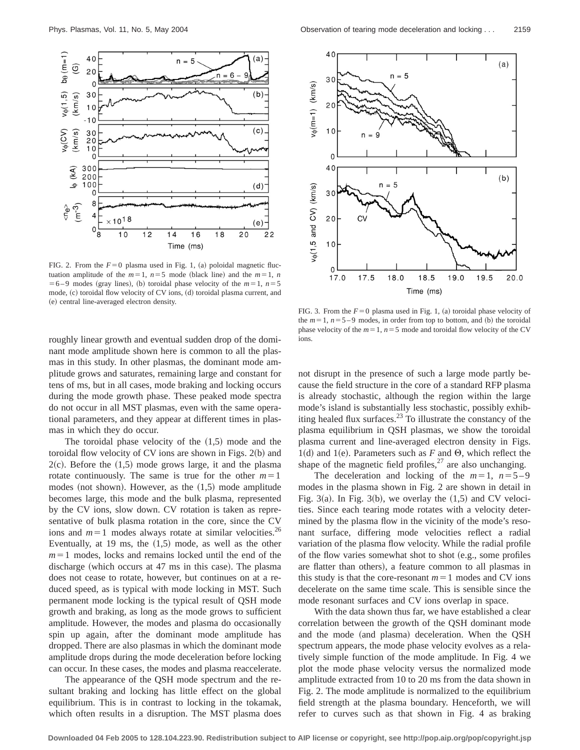

FIG. 2. From the  $F=0$  plasma used in Fig. 1, (a) poloidal magnetic fluctuation amplitude of the  $m=1$ ,  $n=5$  mode (black line) and the  $m=1$ , *n*  $=6-9$  modes (gray lines), (b) toroidal phase velocity of the  $m=1$ ,  $n=5$ mode, (c) toroidal flow velocity of CV ions, (d) toroidal plasma current, and (e) central line-averaged electron density.

roughly linear growth and eventual sudden drop of the dominant mode amplitude shown here is common to all the plasmas in this study. In other plasmas, the dominant mode amplitude grows and saturates, remaining large and constant for tens of ms, but in all cases, mode braking and locking occurs during the mode growth phase. These peaked mode spectra do not occur in all MST plasmas, even with the same operational parameters, and they appear at different times in plasmas in which they do occur.

The toroidal phase velocity of the  $(1,5)$  mode and the toroidal flow velocity of CV ions are shown in Figs.  $2(b)$  and  $2(c)$ . Before the  $(1,5)$  mode grows large, it and the plasma rotate continuously. The same is true for the other  $m=1$ modes (not shown). However, as the  $(1,5)$  mode amplitude becomes large, this mode and the bulk plasma, represented by the CV ions, slow down. CV rotation is taken as representative of bulk plasma rotation in the core, since the CV ions and  $m=1$  modes always rotate at similar velocities.<sup>26</sup> Eventually, at 19 ms, the  $(1,5)$  mode, as well as the other  $m=1$  modes, locks and remains locked until the end of the discharge (which occurs at  $47$  ms in this case). The plasma does not cease to rotate, however, but continues on at a reduced speed, as is typical with mode locking in MST. Such permanent mode locking is the typical result of QSH mode growth and braking, as long as the mode grows to sufficient amplitude. However, the modes and plasma do occasionally spin up again, after the dominant mode amplitude has dropped. There are also plasmas in which the dominant mode amplitude drops during the mode deceleration before locking can occur. In these cases, the modes and plasma reaccelerate.

The appearance of the QSH mode spectrum and the resultant braking and locking has little effect on the global equilibrium. This is in contrast to locking in the tokamak, which often results in a disruption. The MST plasma does



FIG. 3. From the  $F=0$  plasma used in Fig. 1, (a) toroidal phase velocity of the  $m=1$ ,  $n=5-9$  modes, in order from top to bottom, and (b) the toroidal phase velocity of the  $m=1$ ,  $n=5$  mode and toroidal flow velocity of the CV ions.

not disrupt in the presence of such a large mode partly because the field structure in the core of a standard RFP plasma is already stochastic, although the region within the large mode's island is substantially less stochastic, possibly exhibiting healed flux surfaces. $^{23}$  To illustrate the constancy of the plasma equilibrium in QSH plasmas, we show the toroidal plasma current and line-averaged electron density in Figs. 1(d) and 1(e). Parameters such as *F* and  $\Theta$ , which reflect the shape of the magnetic field profiles, $^{27}$  are also unchanging.

The deceleration and locking of the  $m=1$ ,  $n=5-9$ modes in the plasma shown in Fig. 2 are shown in detail in Fig. 3(a). In Fig. 3(b), we overlay the  $(1,5)$  and CV velocities. Since each tearing mode rotates with a velocity determined by the plasma flow in the vicinity of the mode's resonant surface, differing mode velocities reflect a radial variation of the plasma flow velocity. While the radial profile of the flow varies somewhat shot to shot  $(e.g.,)$  some profiles are flatter than others), a feature common to all plasmas in this study is that the core-resonant  $m=1$  modes and CV ions decelerate on the same time scale. This is sensible since the mode resonant surfaces and CV ions overlap in space.

With the data shown thus far, we have established a clear correlation between the growth of the QSH dominant mode and the mode (and plasma) deceleration. When the QSH spectrum appears, the mode phase velocity evolves as a relatively simple function of the mode amplitude. In Fig. 4 we plot the mode phase velocity versus the normalized mode amplitude extracted from 10 to 20 ms from the data shown in Fig. 2. The mode amplitude is normalized to the equilibrium field strength at the plasma boundary. Henceforth, we will refer to curves such as that shown in Fig. 4 as braking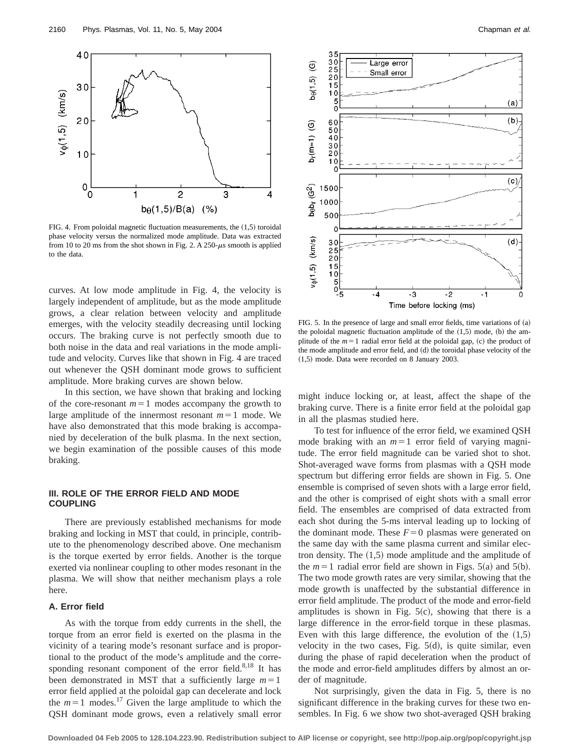

FIG. 4. From poloidal magnetic fluctuation measurements, the  $(1,5)$  toroidal phase velocity versus the normalized mode amplitude. Data was extracted from 10 to 20 ms from the shot shown in Fig. 2. A 250- $\mu$ s smooth is applied to the data.

curves. At low mode amplitude in Fig. 4, the velocity is largely independent of amplitude, but as the mode amplitude grows, a clear relation between velocity and amplitude emerges, with the velocity steadily decreasing until locking occurs. The braking curve is not perfectly smooth due to both noise in the data and real variations in the mode amplitude and velocity. Curves like that shown in Fig. 4 are traced out whenever the QSH dominant mode grows to sufficient amplitude. More braking curves are shown below.

In this section, we have shown that braking and locking of the core-resonant  $m=1$  modes accompany the growth to large amplitude of the innermost resonant  $m=1$  mode. We have also demonstrated that this mode braking is accompanied by deceleration of the bulk plasma. In the next section, we begin examination of the possible causes of this mode braking.

# **III. ROLE OF THE ERROR FIELD AND MODE COUPLING**

There are previously established mechanisms for mode braking and locking in MST that could, in principle, contribute to the phenomenology described above. One mechanism is the torque exerted by error fields. Another is the torque exerted via nonlinear coupling to other modes resonant in the plasma. We will show that neither mechanism plays a role here.

## **A. Error field**

As with the torque from eddy currents in the shell, the torque from an error field is exerted on the plasma in the vicinity of a tearing mode's resonant surface and is proportional to the product of the mode's amplitude and the corresponding resonant component of the error field.<sup>8,18</sup> It has been demonstrated in MST that a sufficiently large  $m=1$ error field applied at the poloidal gap can decelerate and lock the  $m=1$  modes.<sup>17</sup> Given the large amplitude to which the QSH dominant mode grows, even a relatively small error



FIG. 5. In the presence of large and small error fields, time variations of  $(a)$ the poloidal magnetic fluctuation amplitude of the  $(1,5)$  mode,  $(b)$  the amplitude of the  $m=1$  radial error field at the poloidal gap, (c) the product of the mode amplitude and error field, and (d) the toroidal phase velocity of the  $(1,5)$  mode. Data were recorded on 8 January 2003.

might induce locking or, at least, affect the shape of the braking curve. There is a finite error field at the poloidal gap in all the plasmas studied here.

To test for influence of the error field, we examined QSH mode braking with an  $m=1$  error field of varying magnitude. The error field magnitude can be varied shot to shot. Shot-averaged wave forms from plasmas with a QSH mode spectrum but differing error fields are shown in Fig. 5. One ensemble is comprised of seven shots with a large error field, and the other is comprised of eight shots with a small error field. The ensembles are comprised of data extracted from each shot during the 5-ms interval leading up to locking of the dominant mode. These  $F=0$  plasmas were generated on the same day with the same plasma current and similar electron density. The  $(1,5)$  mode amplitude and the amplitude of the  $m=1$  radial error field are shown in Figs. 5(a) and 5(b). The two mode growth rates are very similar, showing that the mode growth is unaffected by the substantial difference in error field amplitude. The product of the mode and error-field amplitudes is shown in Fig.  $5(c)$ , showing that there is a large difference in the error-field torque in these plasmas. Even with this large difference, the evolution of the  $(1,5)$ velocity in the two cases, Fig.  $5(d)$ , is quite similar, even during the phase of rapid deceleration when the product of the mode and error-field amplitudes differs by almost an order of magnitude.

Not surprisingly, given the data in Fig. 5, there is no significant difference in the braking curves for these two ensembles. In Fig. 6 we show two shot-averaged QSH braking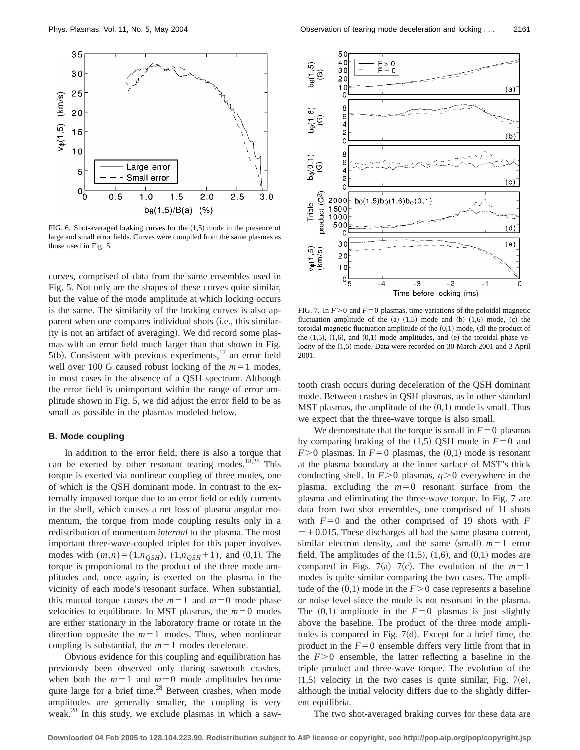

FIG. 6. Shot-averaged braking curves for the  $(1,5)$  mode in the presence of large and small error fields. Curves were compiled from the same plasmas as those used in Fig. 5.

curves, comprised of data from the same ensembles used in Fig. 5. Not only are the shapes of these curves quite similar, but the value of the mode amplitude at which locking occurs is the same. The similarity of the braking curves is also apparent when one compares individual shots (i.e., this similarity is not an artifact of averaging). We did record some plasmas with an error field much larger than that shown in Fig.  $5(b)$ . Consistent with previous experiments,<sup>17</sup> an error field well over 100 G caused robust locking of the  $m=1$  modes, in most cases in the absence of a QSH spectrum. Although the error field is unimportant within the range of error amplitude shown in Fig. 5, we did adjust the error field to be as small as possible in the plasmas modeled below.

## **B. Mode coupling**

In addition to the error field, there is also a torque that can be exerted by other resonant tearing modes.<sup>18,28</sup> This torque is exerted via nonlinear coupling of three modes, one of which is the QSH dominant mode. In contrast to the externally imposed torque due to an error field or eddy currents in the shell, which causes a net loss of plasma angular momentum, the torque from mode coupling results only in a redistribution of momentum *internal* to the plasma. The most important three-wave-coupled triplet for this paper involves modes with  $(m,n) = (1,n_{QSH})$ ,  $(1,n_{QSH}+1)$ , and  $(0,1)$ . The torque is proportional to the product of the three mode amplitudes and, once again, is exerted on the plasma in the vicinity of each mode's resonant surface. When substantial, this mutual torque causes the  $m=1$  and  $m=0$  mode phase velocities to equilibrate. In MST plasmas, the  $m=0$  modes are either stationary in the laboratory frame or rotate in the direction opposite the  $m=1$  modes. Thus, when nonlinear coupling is substantial, the  $m=1$  modes decelerate.

Obvious evidence for this coupling and equilibration has previously been observed only during sawtooth crashes, when both the  $m=1$  and  $m=0$  mode amplitudes become quite large for a brief time.<sup>28</sup> Between crashes, when mode amplitudes are generally smaller, the coupling is very weak.28 In this study, we exclude plasmas in which a saw-



FIG. 7. In  $F>0$  and  $F=0$  plasmas, time variations of the poloidal magnetic fluctuation amplitude of the  $(a)$   $(1,5)$  mode and  $(b)$   $(1,6)$  mode,  $(c)$  the toroidal magnetic fluctuation amplitude of the  $(0,1)$  mode,  $(d)$  the product of the  $(1,5)$ ,  $(1,6)$ , and  $(0,1)$  mode amplitudes, and  $(e)$  the toroidal phase velocity of the (1,5) mode. Data were recorded on 30 March 2001 and 3 April 2001.

tooth crash occurs during deceleration of the QSH dominant mode. Between crashes in QSH plasmas, as in other standard MST plasmas, the amplitude of the  $(0,1)$  mode is small. Thus we expect that the three-wave torque is also small.

We demonstrate that the torque is small in  $F=0$  plasmas by comparing braking of the  $(1,5)$  QSH mode in  $F=0$  and  $F>0$  plasmas. In  $F=0$  plasmas, the  $(0,1)$  mode is resonant at the plasma boundary at the inner surface of MST's thick conducting shell. In  $F>0$  plasmas,  $q>0$  everywhere in the plasma, excluding the  $m=0$  resonant surface from the plasma and eliminating the three-wave torque. In Fig. 7 are data from two shot ensembles, one comprised of 11 shots with  $F=0$  and the other comprised of 19 shots with  $F$  $=$  +0.015. These discharges all had the same plasma current, similar electron density, and the same (small)  $m=1$  error field. The amplitudes of the  $(1,5)$ ,  $(1,6)$ , and  $(0,1)$  modes are compared in Figs. 7(a)–7(c). The evolution of the  $m=1$ modes is quite similar comparing the two cases. The amplitude of the  $(0,1)$  mode in the  $F>0$  case represents a baseline or noise level since the mode is not resonant in the plasma. The  $(0,1)$  amplitude in the  $F=0$  plasmas is just slightly above the baseline. The product of the three mode amplitudes is compared in Fig.  $7(d)$ . Except for a brief time, the product in the  $F=0$  ensemble differs very little from that in the  $F>0$  ensemble, the latter reflecting a baseline in the triple product and three-wave torque. The evolution of the  $(1,5)$  velocity in the two cases is quite similar, Fig. 7(e), although the initial velocity differs due to the slightly different equilibria.

The two shot-averaged braking curves for these data are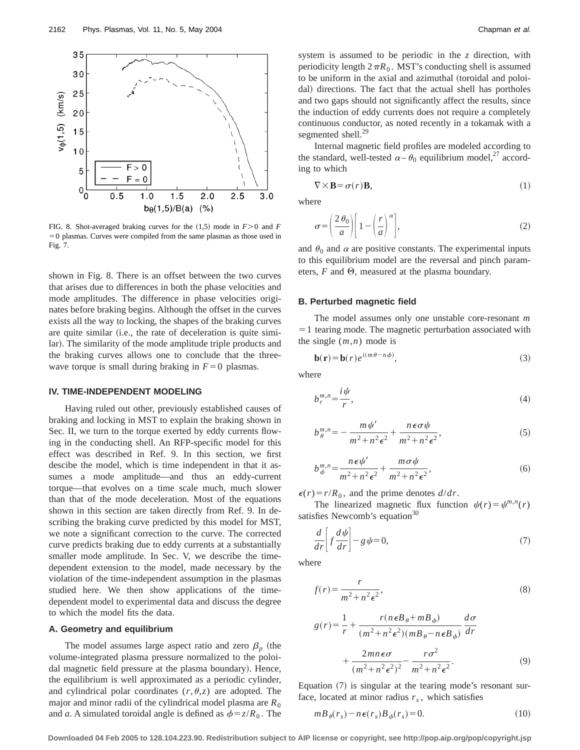

FIG. 8. Shot-averaged braking curves for the  $(1,5)$  mode in  $F>0$  and *F*  $=0$  plasmas. Curves were compiled from the same plasmas as those used in Fig. 7.

shown in Fig. 8. There is an offset between the two curves that arises due to differences in both the phase velocities and mode amplitudes. The difference in phase velocities originates before braking begins. Although the offset in the curves exists all the way to locking, the shapes of the braking curves are quite similar (i.e., the rate of deceleration is quite similar). The similarity of the mode amplitude triple products and the braking curves allows one to conclude that the threewave torque is small during braking in  $F=0$  plasmas.

#### **IV. TIME-INDEPENDENT MODELING**

Having ruled out other, previously established causes of braking and locking in MST to explain the braking shown in Sec. II, we turn to the torque exerted by eddy currents flowing in the conducting shell. An RFP-specific model for this effect was described in Ref. 9. In this section, we first descibe the model, which is time independent in that it assumes a mode amplitude—and thus an eddy-current torque—that evolves on a time scale much, much slower than that of the mode deceleration. Most of the equations shown in this section are taken directly from Ref. 9. In describing the braking curve predicted by this model for MST, we note a significant correction to the curve. The corrected curve predicts braking due to eddy currents at a substantially smaller mode amplitude. In Sec. V, we describe the timedependent extension to the model, made necessary by the violation of the time-independent assumption in the plasmas studied here. We then show applications of the timedependent model to experimental data and discuss the degree to which the model fits the data.

## **A. Geometry and equilibrium**

The model assumes large aspect ratio and zero  $\beta_p$  (the volume-integrated plasma pressure normalized to the poloidal magnetic field pressure at the plasma boundary). Hence, the equilibrium is well approximated as a periodic cylinder, and cylindrical polar coordinates  $(r, \theta, z)$  are adopted. The major and minor radii of the cylindrical model plasma are  $R_0$ and *a*. A simulated toroidal angle is defined as  $\phi = z/R_0$ . The system is assumed to be periodic in the *z* direction, with periodicity length  $2\pi R_0$ . MST's conducting shell is assumed to be uniform in the axial and azimuthal (toroidal and poloidal) directions. The fact that the actual shell has portholes and two gaps should not significantly affect the results, since the induction of eddy currents does not require a completely continuous conductor, as noted recently in a tokamak with a segmented shell.<sup>29</sup>

Internal magnetic field profiles are modeled according to the standard, well-tested  $\alpha - \theta_0$  equilibrium model,<sup>27</sup> according to which

$$
\nabla \times \mathbf{B} = \sigma(r) \mathbf{B},\tag{1}
$$

where

$$
\sigma = \left(\frac{2\,\theta_0}{a}\right) \left[1 - \left(\frac{r}{a}\right)^{\alpha}\right],\tag{2}
$$

and  $\theta_0$  and  $\alpha$  are positive constants. The experimental inputs to this equilibrium model are the reversal and pinch parameters,  $F$  and  $\Theta$ , measured at the plasma boundary.

### **B. Perturbed magnetic field**

The model assumes only one unstable core-resonant *m*  $=1$  tearing mode. The magnetic perturbation associated with the single  $(m, n)$  mode is

$$
\mathbf{b}(\mathbf{r}) = \mathbf{b}(r)e^{i(m\theta - n\phi)},\tag{3}
$$

where

$$
b_r^{m,n} = \frac{i\psi}{r},\tag{4}
$$

$$
b_{\theta}^{m,n} = -\frac{m\psi'}{m^2 + n^2\epsilon^2} + \frac{n\epsilon\sigma\psi}{m^2 + n^2\epsilon^2},
$$
\n(5)

$$
b_{\phi}^{m,n} = \frac{n\epsilon\psi'}{m^2 + n^2\epsilon^2} + \frac{m\sigma\psi}{m^2 + n^2\epsilon^2},
$$
\n(6)

 $\epsilon(r) = r/R_0$ , and the prime denotes  $d/dr$ .

The linearized magnetic flux function  $\psi(r) = \psi^{m,n}(r)$ satisfies Newcomb's equation $30$ 

$$
\frac{d}{dr}\bigg[f\frac{d\psi}{dr}\bigg] - g\,\psi = 0,\tag{7}
$$

where

$$
f(r) = \frac{r}{m^2 + n^2 \epsilon^2},\tag{8}
$$

$$
g(r) = \frac{1}{r} + \frac{r(n\epsilon B_{\theta} + mB_{\phi})}{(m^2 + n^2\epsilon^2)(mB_{\theta} - n\epsilon B_{\phi})} \frac{d\sigma}{dr}
$$

$$
+ \frac{2mn\epsilon\sigma}{(m^2 + n^2\epsilon^2)^2} - \frac{r\sigma^2}{m^2 + n^2\epsilon^2}.
$$
(9)

Equation  $(7)$  is singular at the tearing mode's resonant surface, located at minor radius  $r<sub>s</sub>$ , which satisfies

$$
m B_{\theta}(r_s) - n \epsilon(r_s) B_{\phi}(r_s) = 0. \tag{10}
$$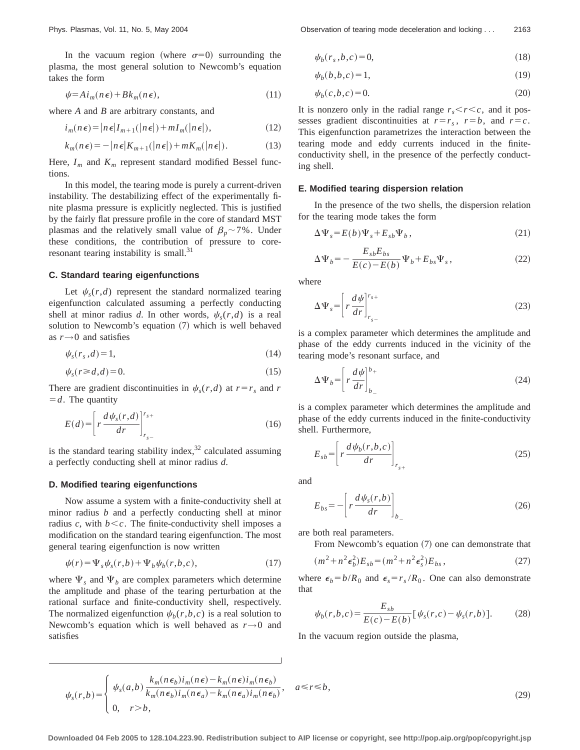In the vacuum region (where  $\sigma=0$ ) surrounding the plasma, the most general solution to Newcomb's equation takes the form

$$
\psi = Ai_m(n\epsilon) + Bk_m(n\epsilon),\tag{11}
$$

where *A* and *B* are arbitrary constants, and

$$
i_m(n\epsilon) = |n\epsilon|I_{m+1}(|n\epsilon|) + mI_m(|n\epsilon|),
$$
\n(12)

$$
k_m(n\epsilon) = -|n\epsilon|K_{m+1}(|n\epsilon|) + mK_m(|n\epsilon|). \tag{13}
$$

Here,  $I_m$  and  $K_m$  represent standard modified Bessel functions.

In this model, the tearing mode is purely a current-driven instability. The destabilizing effect of the experimentally finite plasma pressure is explicitly neglected. This is justified by the fairly flat pressure profile in the core of standard MST plasmas and the relatively small value of  $\beta_p \sim 7\%$ . Under these conditions, the contribution of pressure to coreresonant tearing instability is small.<sup>31</sup>

# **C. Standard tearing eigenfunctions**

Let  $\psi_s(r,d)$  represent the standard normalized tearing eigenfunction calculated assuming a perfectly conducting shell at minor radius *d*. In other words,  $\psi_s(r,d)$  is a real solution to Newcomb's equation  $(7)$  which is well behaved as  $r \rightarrow 0$  and satisfies

$$
\psi_s(r_s, d) = 1,\tag{14}
$$

$$
\psi_s(r \ge d, d) = 0. \tag{15}
$$

There are gradient discontinuities in  $\psi_s(r, d)$  at  $r = r_s$  and *r*  $= d$ . The quantity

$$
E(d) = \left[ r \frac{d \psi_s(r,d)}{dr} \right]_{r_{s-}}^{r_{s+}} \tag{16}
$$

is the standard tearing stability index,  $32$  calculated assuming a perfectly conducting shell at minor radius *d*.

## **D. Modified tearing eigenfunctions**

Now assume a system with a finite-conductivity shell at minor radius *b* and a perfectly conducting shell at minor radius *c*, with  $b < c$ . The finite-conductivity shell imposes a modification on the standard tearing eigenfunction. The most general tearing eigenfunction is now written

$$
\psi(r) = \Psi_s \psi_s(r, b) + \Psi_b \psi_b(r, b, c), \qquad (17)
$$

where  $\Psi_s$  and  $\Psi_b$  are complex parameters which determine the amplitude and phase of the tearing perturbation at the rational surface and finite-conductivity shell, respectively. The normalized eigenfunction  $\psi_b(r, b, c)$  is a real solution to Newcomb's equation which is well behaved as *r*→0 and satisfies

$$
\psi_b(r_s, b, c) = 0,\tag{18}
$$

$$
\psi_b(b,b,c) = 1,\tag{19}
$$

$$
\psi_b(c,b,c) = 0.\tag{20}
$$

It is nonzero only in the radial range  $r_s \leq r \leq c$ , and it possesses gradient discontinuities at  $r=r_s$ ,  $r=b$ , and  $r=c$ . This eigenfunction parametrizes the interaction between the tearing mode and eddy currents induced in the finiteconductivity shell, in the presence of the perfectly conducting shell.

#### **E. Modified tearing dispersion relation**

In the presence of the two shells, the dispersion relation for the tearing mode takes the form

$$
\Delta \Psi_s = E(b)\Psi_s + E_{sb}\Psi_b, \qquad (21)
$$

$$
\Delta \Psi_b = -\frac{E_{sb}E_{bs}}{E(c) - E(b)} \Psi_b + E_{bs} \Psi_s, \qquad (22)
$$

where

$$
\Delta \Psi_s = \left[ r \frac{d\psi}{dr} \right]_{r_{s-}}^{r_{s+}} \tag{23}
$$

is a complex parameter which determines the amplitude and phase of the eddy currents induced in the vicinity of the tearing mode's resonant surface, and

$$
\Delta \Psi_b = \left[ r \frac{d\psi}{dr} \right]_{b_-}^{b_+}
$$
\n(24)

is a complex parameter which determines the amplitude and phase of the eddy currents induced in the finite-conductivity shell. Furthermore,

$$
E_{sb} = \left[ r \frac{d \psi_b(r,b,c)}{dr} \right]_{r_{s+}} \tag{25}
$$

and

$$
E_{bs} = -\left[r\frac{d\psi_s(r,b)}{dr}\right]_{b_{-}}
$$
\n(26)

are both real parameters.

From Newcomb's equation  $(7)$  one can demonstrate that

$$
(m^2 + n^2 \epsilon_b^2) E_{sb} = (m^2 + n^2 \epsilon_s^2) E_{bs} ,
$$
 (27)

where  $\epsilon_b = b/R_0$  and  $\epsilon_s = r_s/R_0$ . One can also demonstrate that

$$
\psi_b(r,b,c) = \frac{E_{sb}}{E(c) - E(b)} [\psi_s(r,c) - \psi_s(r,b)].
$$
 (28)

In the vacuum region outside the plasma,

$$
\psi_s(r,b) = \begin{cases} \psi_s(a,b) \frac{k_m(n\epsilon_b)i_m(n\epsilon) - k_m(n\epsilon)i_m(n\epsilon_b)}{k_m(n\epsilon_b)i_m(n\epsilon_a) - k_m(n\epsilon_a)i_m(n\epsilon_b)}, & a \leq r \leq b, \\ 0, & r > b, \end{cases}
$$
(29)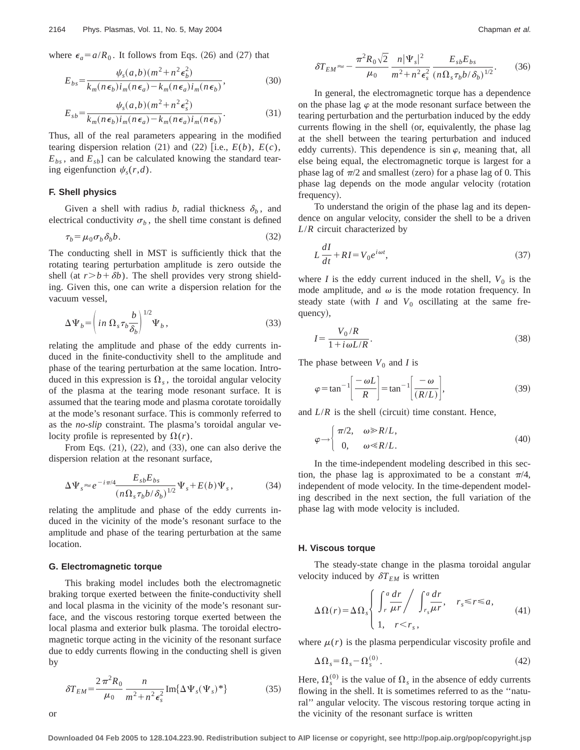where  $\epsilon_a = a/R_0$ . It follows from Eqs. (26) and (27) that

$$
E_{bs} = \frac{\psi_s(a,b)(m^2 + n^2 \epsilon_b^2)}{k_m(n\epsilon_b)i_m(n\epsilon_a) - k_m(n\epsilon_a)i_m(n\epsilon_b)},
$$
(30)

$$
E_{sb} = \frac{\psi_s(a,b)(m^2 + n^2 \epsilon_s^2)}{k_m(n\epsilon_b)i_m(n\epsilon_a) - k_m(n\epsilon_a)i_m(n\epsilon_b)}.
$$
(31)

Thus, all of the real parameters appearing in the modified tearing dispersion relation  $(21)$  and  $(22)$  [i.e.,  $E(b)$ ,  $E(c)$ ,  $E_{bs}$ , and  $E_{sb}$ ] can be calculated knowing the standard tearing eigenfunction  $\psi_s(r,d)$ .

## **F. Shell physics**

Given a shell with radius *b*, radial thickness  $\delta_b$ , and electrical conductivity  $\sigma_b$ , the shell time constant is defined

$$
\tau_b = \mu_0 \sigma_b \delta_b b. \tag{32}
$$

The conducting shell in MST is sufficiently thick that the rotating tearing perturbation amplitude is zero outside the shell (at  $r > b + \delta b$ ). The shell provides very strong shielding. Given this, one can write a dispersion relation for the vacuum vessel,

$$
\Delta \Psi_b = \left( in \ \Omega_s \tau_b \frac{b}{\delta_b} \right)^{1/2} \Psi_b \,, \tag{33}
$$

relating the amplitude and phase of the eddy currents induced in the finite-conductivity shell to the amplitude and phase of the tearing perturbation at the same location. Introduced in this expression is  $\Omega<sub>s</sub>$ , the toroidal angular velocity of the plasma at the tearing mode resonant surface. It is assumed that the tearing mode and plasma corotate toroidally at the mode's resonant surface. This is commonly referred to as the *no-slip* constraint. The plasma's toroidal angular velocity profile is represented by  $\Omega(r)$ .

From Eqs.  $(21)$ ,  $(22)$ , and  $(33)$ , one can also derive the dispersion relation at the resonant surface,

$$
\Delta \Psi_s \approx e^{-i\pi/4} \frac{E_{sb} E_{bs}}{(n\Omega_s \tau_b b/\delta_b)^{1/2}} \Psi_s + E(b) \Psi_s, \qquad (34)
$$

relating the amplitude and phase of the eddy currents induced in the vicinity of the mode's resonant surface to the amplitude and phase of the tearing perturbation at the same location.

## **G. Electromagnetic torque**

This braking model includes both the electromagnetic braking torque exerted between the finite-conductivity shell and local plasma in the vicinity of the mode's resonant surface, and the viscous restoring torque exerted between the local plasma and exterior bulk plasma. The toroidal electromagnetic torque acting in the vicinity of the resonant surface due to eddy currents flowing in the conducting shell is given by

$$
\delta T_{EM} = \frac{2\pi^2 R_0}{\mu_0} \frac{n}{m^2 + n^2 \epsilon_s^2} \text{Im}\{\Delta \Psi_s(\Psi_s)^*\}
$$
(35)

$$
\delta T_{EM} \approx -\frac{\pi^2 R_0 \sqrt{2}}{\mu_0} \frac{n |\Psi_s|^2}{m^2 + n^2 \epsilon_s^2} \frac{E_{sb} E_{bs}}{(n \Omega_s \tau_b b / \delta_b)^{1/2}}.
$$
 (36)

In general, the electromagnetic torque has a dependence on the phase lag  $\varphi$  at the mode resonant surface between the tearing perturbation and the perturbation induced by the eddy currents flowing in the shell (or, equivalently, the phase lag at the shell between the tearing perturbation and induced eddy currents). This dependence is  $\sin \varphi$ , meaning that, all else being equal, the electromagnetic torque is largest for a phase lag of  $\pi/2$  and smallest (zero) for a phase lag of 0. This phase lag depends on the mode angular velocity (rotation frequency).

To understand the origin of the phase lag and its dependence on angular velocity, consider the shell to be a driven *L*/*R* circuit characterized by

$$
L\frac{dI}{dt} + RI = V_0 e^{i\omega t},\tag{37}
$$

where *I* is the eddy current induced in the shell,  $V_0$  is the mode amplitude, and  $\omega$  is the mode rotation frequency. In steady state (with *I* and  $V_0$  oscillating at the same frequency),

$$
I = \frac{V_0/R}{1 + i\omega L/R}.\tag{38}
$$

The phase between  $V_0$  and *I* is

$$
\varphi = \tan^{-1} \left[ \frac{-\omega L}{R} \right] = \tan^{-1} \left[ \frac{-\omega}{(R/L)} \right],\tag{39}
$$

and  $L/R$  is the shell (circuit) time constant. Hence,

$$
\varphi \rightarrow \begin{cases} \pi/2, & \omega \gg R/L, \\ 0, & \omega \ll R/L. \end{cases} \tag{40}
$$

In the time-independent modeling described in this section, the phase lag is approximated to be a constant  $\pi/4$ , independent of mode velocity. In the time-dependent modeling described in the next section, the full variation of the phase lag with mode velocity is included.

#### **H. Viscous torque**

The steady-state change in the plasma toroidal angular velocity induced by  $\delta T_{EM}$  is written

$$
\Delta\Omega(r) = \Delta\Omega_s \begin{cases} \int_r^a \frac{dr}{\mu r} / \int_{r_s}^a \frac{dr}{\mu r}, & r_s \le r \le a, \\ 1, & r \le r_s, \end{cases}
$$
(41)

where  $\mu(r)$  is the plasma perpendicular viscosity profile and

$$
\Delta\Omega_s = \Omega_s - \Omega_s^{(0)}.\tag{42}
$$

Here,  $\Omega_s^{(0)}$  is the value of  $\Omega_s$  in the absence of eddy currents flowing in the shell. It is sometimes referred to as the ''natural'' angular velocity. The viscous restoring torque acting in the vicinity of the resonant surface is written

or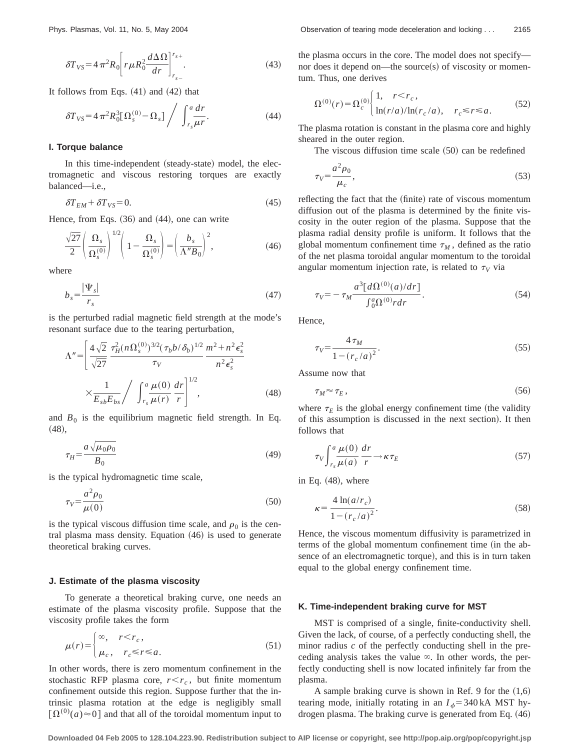$$
\delta T_{VS} = 4 \pi^2 R_0 \left[ r \mu R_0^2 \frac{d \Delta \Omega}{dr} \right]_{r_{s-}}^{r_{s+}}.
$$
 (43)

It follows from Eqs.  $(41)$  and  $(42)$  that

$$
\delta T_{VS} = 4\pi^2 R_0^3 \left[ \Omega_s^{(0)} - \Omega_s \right] \bigg/ \int_{r_s} \frac{dr}{\mu r} . \tag{44}
$$

#### **I. Torque balance**

In this time-independent (steady-state) model, the electromagnetic and viscous restoring torques are exactly balanced—i.e.,

$$
\delta T_{EM} + \delta T_{VS} = 0. \tag{45}
$$

Hence, from Eqs.  $(36)$  and  $(44)$ , one can write

$$
\frac{\sqrt{27}}{2} \left( \frac{\Omega_s}{\Omega_s^{(0)}} \right)^{1/2} \left( 1 - \frac{\Omega_s}{\Omega_s^{(0)}} \right) = \left( \frac{b_s}{\Lambda'' B_0} \right)^2, \tag{46}
$$

where

$$
b_s = \frac{|\Psi_s|}{r_s} \tag{47}
$$

is the perturbed radial magnetic field strength at the mode's resonant surface due to the tearing perturbation,

$$
\Lambda'' = \left[ \frac{4\sqrt{2}}{\sqrt{27}} \frac{\tau_H^2 (n\Omega_s^{(0)})^{3/2} (\tau_b b/\delta_b)^{1/2}}{\tau_V} \frac{m^2 + n^2 \epsilon_s^2}{n^2 \epsilon_s^2} \right]
$$

$$
\times \frac{1}{E_{sb}E_{bs}} / \int_{r_s}^a \frac{\mu(0)}{\mu(r)} \frac{dr}{r} \right]^{1/2}, \tag{48}
$$

and  $B_0$  is the equilibrium magnetic field strength. In Eq.  $(48),$ 

$$
\tau_H = \frac{a\sqrt{\mu_0 \rho_0}}{B_0} \tag{49}
$$

is the typical hydromagnetic time scale,

$$
\tau_V = \frac{a^2 \rho_0}{\mu(0)}\tag{50}
$$

is the typical viscous diffusion time scale, and  $\rho_0$  is the central plasma mass density. Equation  $(46)$  is used to generate theoretical braking curves.

#### **J. Estimate of the plasma viscosity**

To generate a theoretical braking curve, one needs an estimate of the plasma viscosity profile. Suppose that the viscosity profile takes the form

$$
\mu(r) = \begin{cases} \infty, & r < r_c, \\ \mu_c, & r_c \le r \le a. \end{cases}
$$
\n(51)

In other words, there is zero momentum confinement in the stochastic RFP plasma core,  $r < r_c$ , but finite momentum confinement outside this region. Suppose further that the intrinsic plasma rotation at the edge is negligibly small  $\left[\Omega^{(0)}(a) \approx 0\right]$  and that all of the toroidal momentum input to the plasma occurs in the core. The model does not specify nor does it depend on—the source $(s)$  of viscosity or momentum. Thus, one derives

$$
\Omega^{(0)}(r) = \Omega_c^{(0)} \begin{cases} 1, & r < r_c, \\ \ln(r/a)/\ln(r_c/a), & r_c \le r \le a. \end{cases}
$$
 (52)

The plasma rotation is constant in the plasma core and highly sheared in the outer region.

The viscous diffusion time scale  $(50)$  can be redefined

$$
\tau_V = \frac{a^2 \rho_0}{\mu_c},\tag{53}
$$

reflecting the fact that the (finite) rate of viscous momentum diffusion out of the plasma is determined by the finite viscosity in the outer region of the plasma. Suppose that the plasma radial density profile is uniform. It follows that the global momentum confinement time  $\tau_M$ , defined as the ratio of the net plasma toroidal angular momentum to the toroidal angular momentum injection rate, is related to  $\tau_V$  via

$$
\tau_V = -\tau_M \frac{a^3 [d\Omega^{(0)}(a)/dr]}{ \int_0^a \Omega^{(0)} r dr}.
$$
\n(54)

Hence,

$$
\tau_V = \frac{4\,\tau_M}{1 - (r_c/a)^2}.\tag{55}
$$

Assume now that

$$
\tau_M \approx \tau_E, \tag{56}
$$

where  $\tau_E$  is the global energy confinement time (the validity of this assumption is discussed in the next section). It then follows that

$$
\tau_V \int_{r_s}^a \frac{\mu(0)}{\mu(a)} \frac{dr}{r} \to \kappa \tau_E \tag{57}
$$

in Eq.  $(48)$ , where

$$
\kappa = \frac{4 \ln(a/r_c)}{1 - (r_c/a)^2}.
$$
\n(58)

Hence, the viscous momentum diffusivity is parametrized in terms of the global momentum confinement time (in the absence of an electromagnetic torque), and this is in turn taken equal to the global energy confinement time.

#### **K. Time-independent braking curve for MST**

MST is comprised of a single, finite-conductivity shell. Given the lack, of course, of a perfectly conducting shell, the minor radius *c* of the perfectly conducting shell in the preceding analysis takes the value  $\infty$ . In other words, the perfectly conducting shell is now located infinitely far from the plasma.

A sample braking curve is shown in Ref. 9 for the  $(1,6)$ tearing mode, initially rotating in an  $I_{\phi}$ =340 kA MST hydrogen plasma. The braking curve is generated from Eq.  $(46)$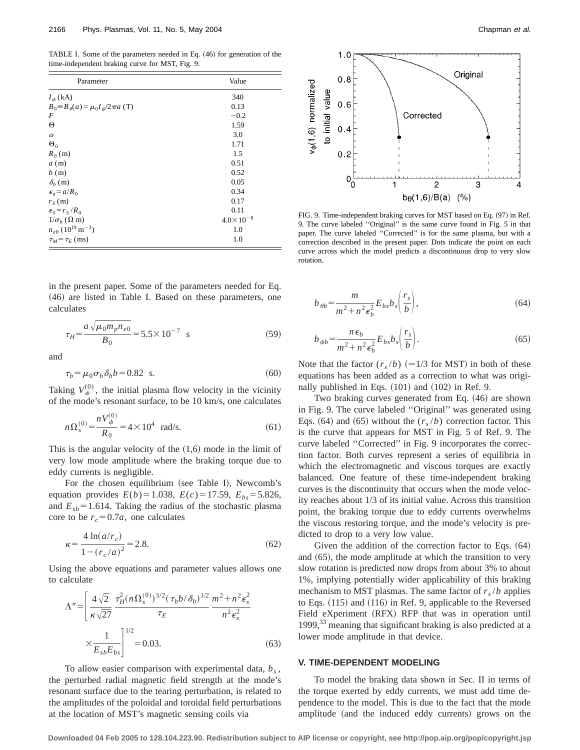TABLE I. Some of the parameters needed in Eq.  $(46)$  for generation of the time-independent braking curve for MST, Fig. 9.

| Parameter                                     | Value                |  |
|-----------------------------------------------|----------------------|--|
| $I_{\phi}$ (kA)                               | 340                  |  |
| $B_0 = B_\theta(a) = \mu_0 I_\phi/2\pi a$ (T) | 0.13                 |  |
| F                                             | $-0.2$               |  |
| $\Theta$                                      | 1.59                 |  |
| $\alpha$                                      | 3.0                  |  |
| $\Theta_0$                                    | 1.71                 |  |
| $R_0(m)$                                      | 1.5                  |  |
| a(m)                                          | 0.51                 |  |
| b(m)                                          | 0.52                 |  |
| $\delta_h(m)$                                 | 0.05                 |  |
| $\epsilon_a = a/R_0$                          | 0.34                 |  |
| $r_s(m)$                                      | 0.17                 |  |
| $\epsilon_{\rm S} = r_{\rm S}/R_0$            | 0.11                 |  |
| $1/\sigma_b(\Omega \text{ m})$                | $4.0 \times 10^{-8}$ |  |
| $n_{e0}$ (10 <sup>19</sup> m <sup>-3</sup> )  | 1.0                  |  |
| 1.0<br>$\tau_M = \tau_F$ (ms)                 |                      |  |

in the present paper. Some of the parameters needed for Eq. (46) are listed in Table I. Based on these parameters, one calculates

$$
\tau_H = \frac{a\sqrt{\mu_0 m_p n_{e0}}}{B_0} = 5.5 \times 10^{-7} \text{ s}
$$
 (59)

and

$$
\tau_b = \mu_0 \sigma_b \delta_b b = 0.82 \text{ s.}
$$
 (60)

Taking  $V_{\phi}^{(0)}$ , the initial plasma flow velocity in the vicinity of the mode's resonant surface, to be 10 km/s, one calculates

$$
n\Omega_s^{(0)} = \frac{nV_{\phi}^{(0)}}{R_0} = 4 \times 10^4 \text{ rad/s.}
$$
 (61)

This is the angular velocity of the  $(1,6)$  mode in the limit of very low mode amplitude where the braking torque due to eddy currents is negligible.

For the chosen equilibrium (see Table I), Newcomb's equation provides  $E(b) = 1.038$ ,  $E(c) = 17.59$ ,  $E_{bs} = 5.826$ , and  $E_{sb}$ =1.614. Taking the radius of the stochastic plasma core to be  $r_c = 0.7a$ , one calculates

$$
\kappa = \frac{4 \ln(a/r_c)}{1 - (r_c/a)^2} = 2.8. \tag{62}
$$

Using the above equations and parameter values allows one to calculate

$$
\Lambda'' = \left[ \frac{4\sqrt{2}}{\kappa \sqrt{27}} \frac{\tau_H^2 (n\Omega_s^{(0)})^{3/2} (\tau_b b/\delta_b)^{1/2}}{\tau_E} \frac{m^2 + n^2 \epsilon_s^2}{n^2 \epsilon_s^2} \right]
$$

$$
\times \frac{1}{E_{sb} E_{bs}} \right]^{1/2} = 0.03. \tag{63}
$$

To allow easier comparison with experimental data,  $b_s$ , the perturbed radial magnetic field strength at the mode's resonant surface due to the tearing perturbation, is related to the amplitudes of the poloidal and toroidal field perturbations at the location of MST's magnetic sensing coils via



FIG. 9. Time-independent braking curves for MST based on Eq. (97) in Ref. 9. The curve labeled ''Original'' is the same curve found in Fig. 5 in that paper. The curve labeled ''Corrected'' is for the same plasma, but with a correction described in the present paper. Dots indicate the point on each curve across which the model predicts a discontinuous drop to very slow rotation.

$$
b_{\theta b} = \frac{m}{m^2 + n^2 \epsilon_b^2} E_{bs} b_s \left(\frac{r_s}{b}\right),\tag{64}
$$

$$
b_{\phi b} = \frac{n \epsilon_b}{m^2 + n^2 \epsilon_b^2} E_{bs} b_s \left(\frac{r_s}{b}\right). \tag{65}
$$

Note that the factor  $(r_s/b)$  ( $\approx$  1/3 for MST) in both of these equations has been added as a correction to what was originally published in Eqs.  $(101)$  and  $(102)$  in Ref. 9.

Two braking curves generated from Eq. (46) are shown in Fig. 9. The curve labeled ''Original'' was generated using Eqs.  $(64)$  and  $(65)$  without the  $(r_s/b)$  correction factor. This is the curve that appears for MST in Fig. 5 of Ref. 9. The curve labeled ''Corrected'' in Fig. 9 incorporates the correction factor. Both curves represent a series of equilibria in which the electromagnetic and viscous torques are exactly balanced. One feature of these time-independent braking curves is the discontinuity that occurs when the mode velocity reaches about 1/3 of its initial value. Across this transition point, the braking torque due to eddy currents overwhelms the viscous restoring torque, and the mode's velocity is predicted to drop to a very low value.

Given the addition of the correction factor to Eqs.  $(64)$ and  $(65)$ , the mode amplitude at which the transition to very slow rotation is predicted now drops from about 3% to about 1%, implying potentially wider applicability of this braking mechanism to MST plasmas. The same factor of  $r_s/b$  applies to Eqs.  $(115)$  and  $(116)$  in Ref. 9, applicable to the Reversed Field eXperiment (RFX) RFP that was in operation until 1999,<sup>33</sup> meaning that significant braking is also predicted at a lower mode amplitude in that device.

#### **V. TIME-DEPENDENT MODELING**

To model the braking data shown in Sec. II in terms of the torque exerted by eddy currents, we must add time dependence to the model. This is due to the fact that the mode amplitude (and the induced eddy currents) grows on the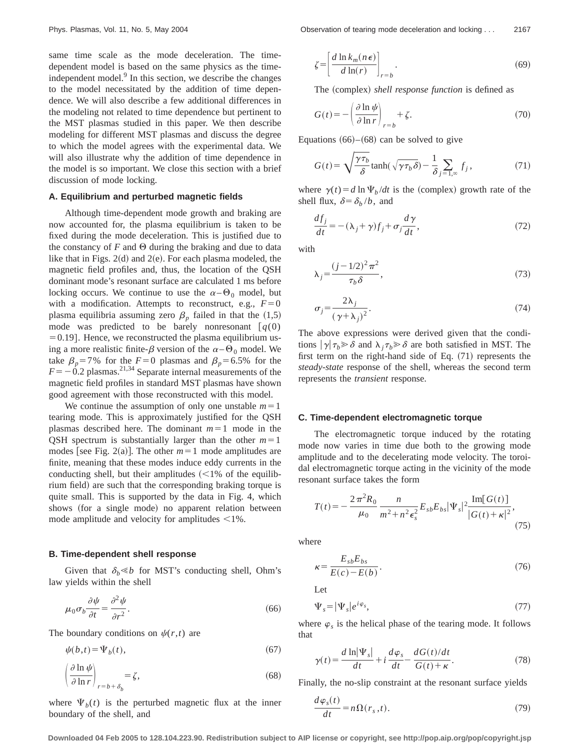same time scale as the mode deceleration. The timedependent model is based on the same physics as the timeindependent model.<sup>9</sup> In this section, we describe the changes to the model necessitated by the addition of time dependence. We will also describe a few additional differences in the modeling not related to time dependence but pertinent to the MST plasmas studied in this paper. We then describe modeling for different MST plasmas and discuss the degree to which the model agrees with the experimental data. We will also illustrate why the addition of time dependence in the model is so important. We close this section with a brief discussion of mode locking.

## **A. Equilibrium and perturbed magnetic fields**

Although time-dependent mode growth and braking are now accounted for, the plasma equilibrium is taken to be fixed during the mode deceleration. This is justified due to the constancy of  $F$  and  $\Theta$  during the braking and due to data like that in Figs.  $2(d)$  and  $2(e)$ . For each plasma modeled, the magnetic field profiles and, thus, the location of the QSH dominant mode's resonant surface are calculated 1 ms before locking occurs. We continue to use the  $\alpha-\Theta_0$  model, but with a modification. Attempts to reconstruct, e.g.,  $F=0$ plasma equilibria assuming zero  $\beta_p$  failed in that the  $(1,5)$ mode was predicted to be barely nonresonant  $\lceil q(0) \rceil$  $=0.19$ ]. Hence, we reconstructed the plasma equilibrium using a more realistic finite- $\beta$  version of the  $\alpha-\Theta_0$  model. We take  $\beta_p = 7\%$  for the  $F=0$  plasmas and  $\beta_p = 6.5\%$  for the  $F = -0.2$  plasmas.<sup>21,34</sup> Separate internal measurements of the magnetic field profiles in standard MST plasmas have shown good agreement with those reconstructed with this model.

We continue the assumption of only one unstable  $m=1$ tearing mode. This is approximately justified for the QSH plasmas described here. The dominant  $m=1$  mode in the QSH spectrum is substantially larger than the other  $m=1$ modes [see Fig. 2(a)]. The other  $m=1$  mode amplitudes are finite, meaning that these modes induce eddy currents in the conducting shell, but their amplitudes  $\ll 1\%$  of the equilibrium field) are such that the corresponding braking torque is quite small. This is supported by the data in Fig. 4, which shows (for a single mode) no apparent relation between mode amplitude and velocity for amplitudes  $\leq 1\%$ .

#### **B. Time-dependent shell response**

Given that  $\delta_b \leq b$  for MST's conducting shell, Ohm's law yields within the shell

$$
\mu_0 \sigma_b \frac{\partial \psi}{\partial t} = \frac{\partial^2 \psi}{\partial r^2}.
$$
\n(66)

The boundary conditions on  $\psi(r,t)$  are

$$
\psi(b,t) = \Psi_b(t),\tag{67}
$$

$$
\left(\frac{\partial \ln \psi}{\partial \ln r}\right)_{r=b+\delta_b} = \zeta,\tag{68}
$$

where  $\Psi_b(t)$  is the perturbed magnetic flux at the inner boundary of the shell, and

$$
\zeta = \left[ \frac{d \ln k_m(n \epsilon)}{d \ln(r)} \right]_{r=b} . \tag{69}
$$

The (complex) *shell response function* is defined as

$$
G(t) = -\left(\frac{\partial \ln \psi}{\partial \ln r}\right)_{r=b} + \zeta.
$$
 (70)

Equations  $(66)–(68)$  can be solved to give

$$
G(t) = \sqrt{\frac{\gamma \tau_b}{\delta}} \tanh(\sqrt{\gamma \tau_b \delta}) - \frac{1}{\delta} \sum_{j=1,\infty} f_j,
$$
 (71)

where  $\gamma(t) = d \ln \Psi_b / dt$  is the (complex) growth rate of the shell flux,  $\delta = \delta_b / b$ , and

$$
\frac{df_j}{dt} = -(\lambda_j + \gamma)f_j + \sigma_j \frac{d\gamma}{dt},\tag{72}
$$

with

$$
\lambda_j = \frac{(j - 1/2)^2 \pi^2}{\tau_b \delta},\tag{73}
$$

$$
\sigma_j = \frac{2\lambda_j}{(\gamma + \lambda_j)^2}.\tag{74}
$$

The above expressions were derived given that the conditions  $|\gamma|\tau_b \gg \delta$  and  $\lambda_i \tau_b \gg \delta$  are both satisfied in MST. The first term on the right-hand side of Eq.  $(71)$  represents the *steady-state* response of the shell, whereas the second term represents the *transient* response.

#### **C. Time-dependent electromagnetic torque**

The electromagnetic torque induced by the rotating mode now varies in time due both to the growing mode amplitude and to the decelerating mode velocity. The toroidal electromagnetic torque acting in the vicinity of the mode resonant surface takes the form

$$
T(t) = -\frac{2\pi^2 R_0}{\mu_0} \frac{n}{m^2 + n^2 \epsilon_s^2} E_{sb} E_{bs} |\Psi_s|^2 \frac{\text{Im}[G(t)]}{|G(t) + \kappa|^2},
$$
\n(75)

where

$$
\kappa = \frac{E_{sb}E_{bs}}{E(c) - E(b)}.\tag{76}
$$

Let

$$
\Psi_s = |\Psi_s| e^{i\varphi_s},\tag{77}
$$

where  $\varphi_s$  is the helical phase of the tearing mode. It follows that

$$
\gamma(t) = \frac{d \ln |\Psi_s|}{dt} + i \frac{d \varphi_s}{dt} - \frac{d G(t)/dt}{G(t) + \kappa}.
$$
\n(78)

Finally, the no-slip constraint at the resonant surface yields

$$
\frac{d\varphi_s(t)}{dt} = n\Omega(r_s, t). \tag{79}
$$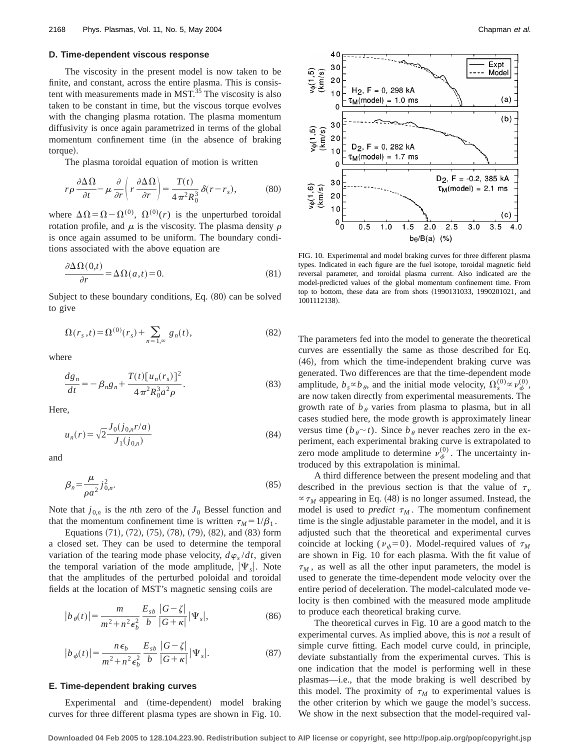#### **D. Time-dependent viscous response**

The viscosity in the present model is now taken to be finite, and constant, across the entire plasma. This is consistent with measurements made in  $MST^{35}$ . The viscosity is also taken to be constant in time, but the viscous torque evolves with the changing plasma rotation. The plasma momentum diffusivity is once again parametrized in terms of the global momentum confinement time (in the absence of braking torque).

The plasma toroidal equation of motion is written

$$
r\rho \frac{\partial \Delta \Omega}{\partial t} - \mu \frac{\partial}{\partial r} \left( r \frac{\partial \Delta \Omega}{\partial r} \right) = \frac{T(t)}{4\pi^2 R_0^3} \delta(r - r_s), \tag{80}
$$

where  $\Delta\Omega = \Omega - \Omega^{(0)}$ ,  $\Omega^{(0)}(r)$  is the unperturbed toroidal rotation profile, and  $\mu$  is the viscosity. The plasma density  $\rho$ is once again assumed to be uniform. The boundary conditions associated with the above equation are

$$
\frac{\partial \Delta \Omega(0,t)}{\partial r} = \Delta \Omega(a,t) = 0.
$$
 (81)

Subject to these boundary conditions, Eq.  $(80)$  can be solved to give

$$
\Omega(r_s, t) = \Omega^{(0)}(r_s) + \sum_{n=1, \infty} g_n(t),
$$
\n(82)

where

$$
\frac{dg_n}{dt} = -\beta_n g_n + \frac{T(t)[u_n(r_s)]^2}{4\pi^2 R_0^3 a^2 \rho}.
$$
\n(83)

Here,

$$
u_n(r) = \sqrt{2} \frac{J_0(j_{0,n}r/a)}{J_1(j_{0,n})}
$$
\n(84)

and

$$
\beta_n = \frac{\mu}{\rho a^2} j_{0,n}^2. \tag{85}
$$

Note that  $j_{0,n}$  is the *n*th zero of the  $J_0$  Bessel function and that the momentum confinement time is written  $\tau_M = 1/\beta_1$ .

Equations  $(71)$ ,  $(72)$ ,  $(75)$ ,  $(78)$ ,  $(79)$ ,  $(82)$ , and  $(83)$  form a closed set. They can be used to determine the temporal variation of the tearing mode phase velocity,  $d\varphi_s/dt$ , given the temporal variation of the mode amplitude,  $|\Psi_{s}|$ . Note that the amplitudes of the perturbed poloidal and toroidal fields at the location of MST's magnetic sensing coils are

$$
|b_{\theta}(t)| = \frac{m}{m^2 + n^2 \epsilon_b^2} \frac{E_{sb}}{b} \frac{|G - \zeta|}{|G + \kappa|} |\Psi_s|,
$$
 (86)

$$
|b_{\phi}(t)| = \frac{n\epsilon_b}{m^2 + n^2\epsilon_b^2} \frac{E_{sb}}{b} \frac{|G - \zeta|}{|G + \kappa|} |\Psi_s|.
$$
 (87)

## **E. Time-dependent braking curves**

Experimental and (time-dependent) model braking curves for three different plasma types are shown in Fig. 10.



FIG. 10. Experimental and model braking curves for three different plasma types. Indicated in each figure are the fuel isotope, toroidal magnetic field reversal parameter, and toroidal plasma current. Also indicated are the model-predicted values of the global momentum confinement time. From top to bottom, these data are from shots (1990131033, 1990201021, and 1001112138).

The parameters fed into the model to generate the theoretical curves are essentially the same as those described for Eq.  $(46)$ , from which the time-independent braking curve was generated. Two differences are that the time-dependent mode amplitude,  $b_s \propto b_\theta$ , and the initial mode velocity,  $\Omega_s^{(0)} \propto \nu_\phi^{(0)}$ , are now taken directly from experimental measurements. The growth rate of  $b_{\theta}$  varies from plasma to plasma, but in all cases studied here, the mode growth is approximately linear versus time ( $b_{\theta} \sim t$ ). Since  $b_{\theta}$  never reaches zero in the experiment, each experimental braking curve is extrapolated to zero mode amplitude to determine  $\nu_{\phi}^{(0)}$ . The uncertainty introduced by this extrapolation is minimal.

A third difference between the present modeling and that described in the previous section is that the value of  $\tau_{\nu}$  $\propto \tau_M$  appearing in Eq. (48) is no longer assumed. Instead, the model is used to *predict*  $\tau_M$ . The momentum confinement time is the single adjustable parameter in the model, and it is adjusted such that the theoretical and experimental curves coincide at locking ( $v<sub>0</sub>=0$ ). Model-required values of  $\tau<sub>M</sub>$ are shown in Fig. 10 for each plasma. With the fit value of  $\tau_M$ , as well as all the other input parameters, the model is used to generate the time-dependent mode velocity over the entire period of deceleration. The model-calculated mode velocity is then combined with the measured mode amplitude to produce each theoretical braking curve.

The theoretical curves in Fig. 10 are a good match to the experimental curves. As implied above, this is *not* a result of simple curve fitting. Each model curve could, in principle, deviate substantially from the experimental curves. This is one indication that the model is performing well in these plasmas—i.e., that the mode braking is well described by this model. The proximity of  $\tau_M$  to experimental values is the other criterion by which we gauge the model's success. We show in the next subsection that the model-required val-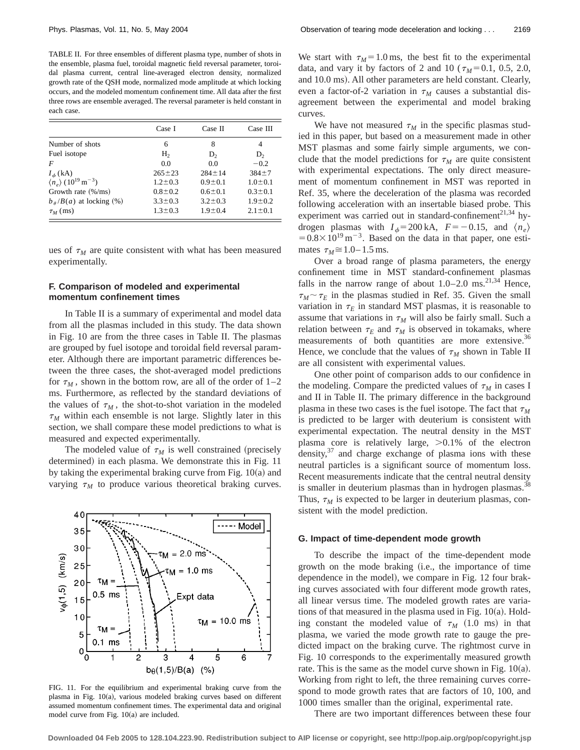TABLE II. For three ensembles of different plasma type, number of shots in the ensemble, plasma fuel, toroidal magnetic field reversal parameter, toroidal plasma current, central line-averaged electron density, normalized growth rate of the QSH mode, normalized mode amplitude at which locking occurs, and the modeled momentum confinement time. All data after the first three rows are ensemble averaged. The reversal parameter is held constant in each case.

|                                                           | Case I         | Case II       | Case III      |
|-----------------------------------------------------------|----------------|---------------|---------------|
| Number of shots                                           | 6              | 8             | 4             |
| Fuel isotope                                              | H <sub>2</sub> | $D_{2}$       | $D_{2}$       |
| F                                                         | 0.0            | 0.0           | $-0.2$        |
| $I_{\phi}$ (kA)                                           | $265 \pm 23$   | $284 \pm 14$  | $384 + 7$     |
| $\langle n_e \rangle$ (10 <sup>19</sup> m <sup>-3</sup> ) | $1.2 \pm 0.3$  | $0.9 + 0.1$   | $1.0 \pm 0.1$ |
| Growth rate $(\frac{9}{m})$                               | $0.8 \pm 0.2$  | $0.6 \pm 0.1$ | $0.3 \pm 0.1$ |
| $b_{\theta}/B(a)$ at locking (%)                          | $3.3 \pm 0.3$  | $3.2 \pm 0.3$ | $1.9 \pm 0.2$ |
| $\tau_M$ (ms)                                             | $1.3 \pm 0.3$  | $1.9 \pm 0.4$ | $2.1 \pm 0.1$ |

ues of  $\tau_M$  are quite consistent with what has been measured experimentally.

# **F. Comparison of modeled and experimental momentum confinement times**

In Table II is a summary of experimental and model data from all the plasmas included in this study. The data shown in Fig. 10 are from the three cases in Table II. The plasmas are grouped by fuel isotope and toroidal field reversal parameter. Although there are important parametric differences between the three cases, the shot-averaged model predictions for  $\tau_M$ , shown in the bottom row, are all of the order of  $1-2$ ms. Furthermore, as reflected by the standard deviations of the values of  $\tau_M$ , the shot-to-shot variation in the modeled  $\tau_M$  within each ensemble is not large. Slightly later in this section, we shall compare these model predictions to what is measured and expected experimentally.

The modeled value of  $\tau_M$  is well constrained (precisely determined) in each plasma. We demonstrate this in Fig. 11 by taking the experimental braking curve from Fig.  $10(a)$  and varying  $\tau_M$  to produce various theoretical braking curves.



FIG. 11. For the equilibrium and experimental braking curve from the plasma in Fig. 10(a), various modeled braking curves based on different assumed momentum confinement times. The experimental data and original model curve from Fig.  $10(a)$  are included.

We start with  $\tau_M = 1.0$  ms, the best fit to the experimental data, and vary it by factors of 2 and 10 ( $\tau_M$ =0.1, 0.5, 2.0, and 10.0 ms). All other parameters are held constant. Clearly, even a factor-of-2 variation in  $\tau_M$  causes a substantial disagreement between the experimental and model braking curves.

We have not measured  $\tau_M$  in the specific plasmas studied in this paper, but based on a measurement made in other MST plasmas and some fairly simple arguments, we conclude that the model predictions for  $\tau_M$  are quite consistent with experimental expectations. The only direct measurement of momentum confinement in MST was reported in Ref. 35, where the deceleration of the plasma was recorded following acceleration with an insertable biased probe. This experiment was carried out in standard-confinement<sup>21,34</sup> hydrogen plasmas with  $I<sub>phi</sub>=200 \text{ kA}$ ,  $F=-0.15$ , and  $\langle n_e \rangle$  $=0.8\times10^{19} \text{ m}^{-3}$ . Based on the data in that paper, one estimates  $\tau_M \approx 1.0 - 1.5$  ms.

Over a broad range of plasma parameters, the energy confinement time in MST standard-confinement plasmas falls in the narrow range of about  $1.0-2.0$  ms.<sup>21,34</sup> Hence,  $\tau_M \sim \tau_E$  in the plasmas studied in Ref. 35. Given the small variation in  $\tau_E$  in standard MST plasmas, it is reasonable to assume that variations in  $\tau_M$  will also be fairly small. Such a relation between  $\tau_E$  and  $\tau_M$  is observed in tokamaks, where measurements of both quantities are more extensive.<sup>36</sup> Hence, we conclude that the values of  $\tau_M$  shown in Table II are all consistent with experimental values.

One other point of comparison adds to our confidence in the modeling. Compare the predicted values of  $\tau_M$  in cases I and II in Table II. The primary difference in the background plasma in these two cases is the fuel isotope. The fact that  $\tau_M$ is predicted to be larger with deuterium is consistent with experimental expectation. The neutral density in the MST plasma core is relatively large,  $>0.1\%$  of the electron density, $37$  and charge exchange of plasma ions with these neutral particles is a significant source of momentum loss. Recent measurements indicate that the central neutral density is smaller in deuterium plasmas than in hydrogen plasmas.<sup>38</sup> Thus,  $\tau_M$  is expected to be larger in deuterium plasmas, consistent with the model prediction.

#### **G. Impact of time-dependent mode growth**

To describe the impact of the time-dependent mode growth on the mode braking (i.e., the importance of time dependence in the model), we compare in Fig. 12 four braking curves associated with four different mode growth rates, all linear versus time. The modeled growth rates are variations of that measured in the plasma used in Fig.  $10(a)$ . Holding constant the modeled value of  $\tau_M$  (1.0 ms) in that plasma, we varied the mode growth rate to gauge the predicted impact on the braking curve. The rightmost curve in Fig. 10 corresponds to the experimentally measured growth rate. This is the same as the model curve shown in Fig.  $10(a)$ . Working from right to left, the three remaining curves correspond to mode growth rates that are factors of 10, 100, and 1000 times smaller than the original, experimental rate.

There are two important differences between these four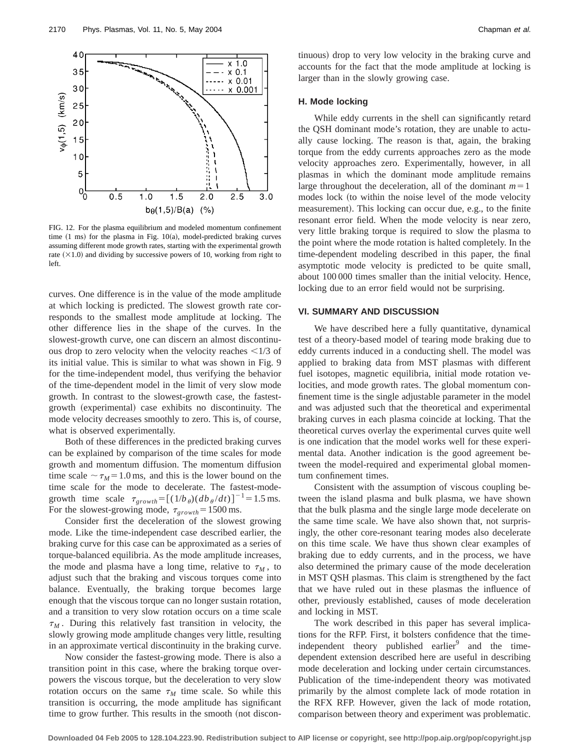

FIG. 12. For the plasma equilibrium and modeled momentum confinement time  $(1 \text{ ms})$  for the plasma in Fig.  $10(a)$ , model-predicted braking curves assuming different mode growth rates, starting with the experimental growth rate  $(\times 1.0)$  and dividing by successive powers of 10, working from right to left.

curves. One difference is in the value of the mode amplitude at which locking is predicted. The slowest growth rate corresponds to the smallest mode amplitude at locking. The other difference lies in the shape of the curves. In the slowest-growth curve, one can discern an almost discontinuous drop to zero velocity when the velocity reaches  $\leq 1/3$  of its initial value. This is similar to what was shown in Fig. 9 for the time-independent model, thus verifying the behavior of the time-dependent model in the limit of very slow mode growth. In contrast to the slowest-growth case, the fastestgrowth (experimental) case exhibits no discontinuity. The mode velocity decreases smoothly to zero. This is, of course, what is observed experimentally.

Both of these differences in the predicted braking curves can be explained by comparison of the time scales for mode growth and momentum diffusion. The momentum diffusion time scale  $\sim \tau_M$ = 1.0 ms, and this is the lower bound on the time scale for the mode to decelerate. The fastest-modegrowth time scale  $\tau_{growth} = [(1/b_{\theta})(db_{\theta}/dt)]^{-1} = 1.5 \text{ ms}.$ For the slowest-growing mode,  $\tau_{growth}$ =1500 ms.

Consider first the deceleration of the slowest growing mode. Like the time-independent case described earlier, the braking curve for this case can be approximated as a series of torque-balanced equilibria. As the mode amplitude increases, the mode and plasma have a long time, relative to  $\tau_M$ , to adjust such that the braking and viscous torques come into balance. Eventually, the braking torque becomes large enough that the viscous torque can no longer sustain rotation, and a transition to very slow rotation occurs on a time scale  $\tau_M$ . During this relatively fast transition in velocity, the slowly growing mode amplitude changes very little, resulting in an approximate vertical discontinuity in the braking curve.

Now consider the fastest-growing mode. There is also a transition point in this case, where the braking torque overpowers the viscous torque, but the deceleration to very slow rotation occurs on the same  $\tau_M$  time scale. So while this transition is occurring, the mode amplitude has significant time to grow further. This results in the smooth (not discontinuous) drop to very low velocity in the braking curve and accounts for the fact that the mode amplitude at locking is larger than in the slowly growing case.

#### **H. Mode locking**

While eddy currents in the shell can significantly retard the QSH dominant mode's rotation, they are unable to actually cause locking. The reason is that, again, the braking torque from the eddy currents approaches zero as the mode velocity approaches zero. Experimentally, however, in all plasmas in which the dominant mode amplitude remains large throughout the deceleration, all of the dominant  $m=1$ modes lock (to within the noise level of the mode velocity measurement). This locking can occur due, e.g., to the finite resonant error field. When the mode velocity is near zero, very little braking torque is required to slow the plasma to the point where the mode rotation is halted completely. In the time-dependent modeling described in this paper, the final asymptotic mode velocity is predicted to be quite small, about 100 000 times smaller than the initial velocity. Hence, locking due to an error field would not be surprising.

## **VI. SUMMARY AND DISCUSSION**

We have described here a fully quantitative, dynamical test of a theory-based model of tearing mode braking due to eddy currents induced in a conducting shell. The model was applied to braking data from MST plasmas with different fuel isotopes, magnetic equilibria, initial mode rotation velocities, and mode growth rates. The global momentum confinement time is the single adjustable parameter in the model and was adjusted such that the theoretical and experimental braking curves in each plasma coincide at locking. That the theoretical curves overlay the experimental curves quite well is one indication that the model works well for these experimental data. Another indication is the good agreement between the model-required and experimental global momentum confinement times.

Consistent with the assumption of viscous coupling between the island plasma and bulk plasma, we have shown that the bulk plasma and the single large mode decelerate on the same time scale. We have also shown that, not surprisingly, the other core-resonant tearing modes also decelerate on this time scale. We have thus shown clear examples of braking due to eddy currents, and in the process, we have also determined the primary cause of the mode deceleration in MST QSH plasmas. This claim is strengthened by the fact that we have ruled out in these plasmas the influence of other, previously established, causes of mode deceleration and locking in MST.

The work described in this paper has several implications for the RFP. First, it bolsters confidence that the timeindependent theory published earlier $9$  and the timedependent extension described here are useful in describing mode deceleration and locking under certain circumstances. Publication of the time-independent theory was motivated primarily by the almost complete lack of mode rotation in the RFX RFP. However, given the lack of mode rotation, comparison between theory and experiment was problematic.